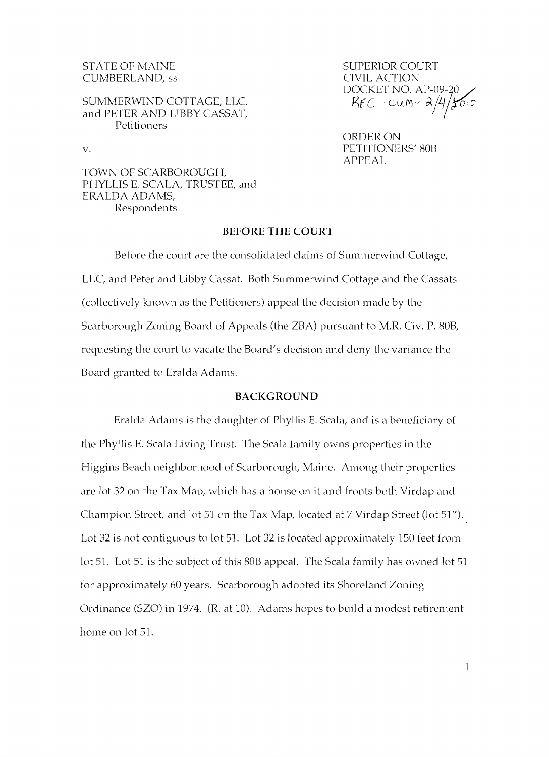# CUMBERLAND, ss CIVIL ACTION

#### SUMMERWIND COTTAGE, LLC, and PETER AND LIBBY CASSAT, Petitioners

STATE OF MAINE SUPERIOR COURT DOCKET NO. AP-09-20 REC-CUM-2/4/2010

ORDER ON v. PETITIONERS' 80B APPEAL

TOWN OF SCARBOROUGH, PHYLLIS E. SCALA, TRUSTEE, and ERALDA ADAMS, Respondents

### **BEFORE THE COURT**

Before the court are the consolidated claims of Summerwind Cottage, LLC, and Peter and Libby Cassat. Both Summerwind Cottage and the Cassats (collectively known as the Petitioners) appeal the decision made by the Scarborough Zoning Board of Appeals (the ZBA) pursuant to M.R. Civ. P. 80B, requesting the court to vacate the Board's decision and deny the variance the Board granted to Eralda Adams.

#### **BACKGROUND**

Eralda Adams is the daughter of Phyllis E. Scala, and is a beneficiary of the Phyllis E. Scala Living Trust. The Scala family owns properties in the Higgins Beach neighborhood of Scarborough, Maine. Among their properties are lot 32 on the Tax Map, which has a house on it and fronts both Virdap and Champion Street, and lot 51 on the Tax Map, located at 7 Virdap Street (lot 51"). Lot 32 is not contiguous to lot 51. Lot 32 is located approximately 150 feet from lot 51. Lot 51 is the subject of this 80B appeal. The Scala family has owned lot 51 for approximately 60 years. Scarborough adopted its Shoreland Zoning Ordinance (SZO) in 1974. (R. at 10). Adams hopes to build a modest retirement home on lot 51.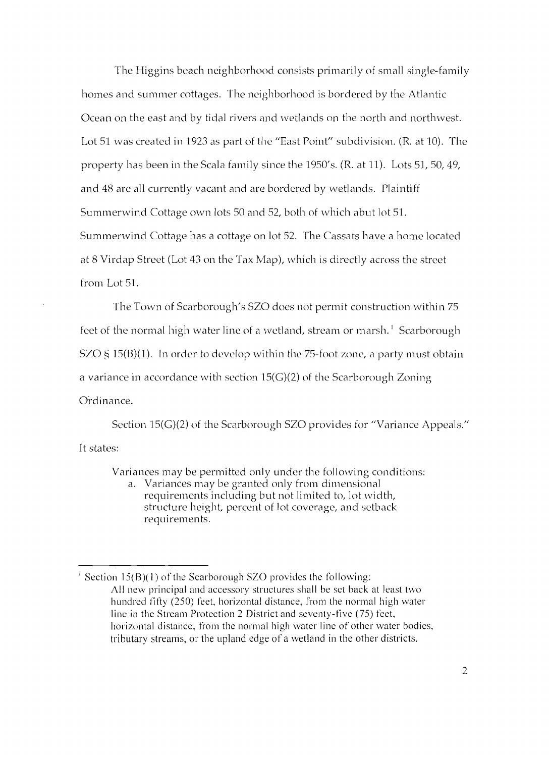The Higgins beach neighborhood consists primarily of small single-family homes and summer cottages. The neighborhood is bordered by the Atlantic Ocean on the east and by tidal rivers and wetlands on the north and northwest. Lot 51 was created in 1923 as part of the "East Point" subdivision. (R. at 10). The property has been in the Scala family since the 1950's. (R. at 11). Lots 51, 50, 49, and 48 are all currently vacant and are bordered by wetlands. Plaintiff Summerwind Cottage own lots 50 and 52, both of which abut lot 51. Summerwind Cottage has a cottage on lot 52. The Cassats have a home located at 8 Virdap Street (Lot 43 on the Tax Map), which is directly across the street from Lot 51.

The Town of Scarborough's SZO does not permit construction within 75 feet of the normal high water line of a wetland, stream or marsh.<sup>1</sup> Scarborough SZO § 15 $(B)(1)$ . In order to develop within the 75-foot zone, a party must obtain a variance in accordance with section 15(G)(2) of the Scarborough Zoning Ordinance.

Section 15(G)(2) of the Scarborough SZO provides for "Variance Appeals." It states:

Variances may be permitted only under the following conditions:

a. Variances may be granted only from dimensional requirements including but not limited to, lot width, structure height, percent of lot coverage, and setback requirements.

<sup>&</sup>lt;sup>1</sup> Section 15(B)(1) of the Scarborough SZO provides the following: All new principal and accessory structures shall be set back at least two hundred fifty (250) feet, horizontal distance, from the normal high water line in the Stream Protection 2 District and seventy-five (75) feet, horizontal distance, from the normal high water line of other water bodies, tributary streams, or the upland edge of a wetland in the other districts.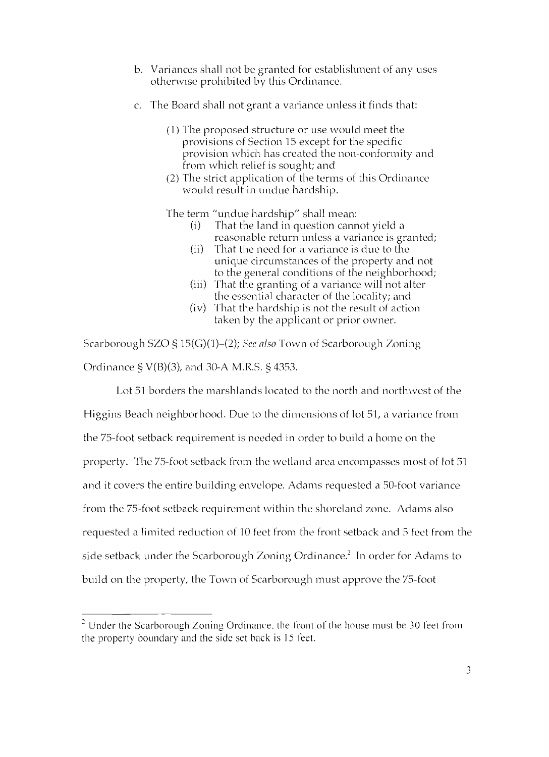- b. Variances shall not be granted for establishment of any uses otherwise prohibited by this Ordinance.
- c. The Board shall not grant a variance unless it finds that:
	- (1) The proposed structure or use would meet the provisions of Section 15 except for the specific provision which has created the non-conformity and from which relief is sought; and
	- (2) The strict application of the terms of this Ordinance would result in undue hardship.

The term "undue hardship" shall mean:

- $(i)$  That the land in question cannot yield a reasonable return unless a variance is granted;
- (ii) That the need for a variance is due to the unique circumstances of the property and not to the general conditions of the neighborhood;
- (iii) That the granting of a variance will not alter the essential character of the locality; and
- (iv) That the hardship is not the result of action taken by the applicant or prior owner.

Scarborough SZO § 15(G)(1)-(2); *See nlso* Town of Scarborough Zoning Ordinance § V(B)(3), and 30-A M.R.S. § 4353.

Lot 51 borders the marshlands located to the north and northwest of the Higgins Beach neighborhood. Due to the dimensions of lot 51, a variance from the 75-foot setback requirement is needed in order to build a home on the property. The 75-foot setback from the wetland area encompasses most of lot 51 and it covers the entire building envelope. Adams requested a 50-foot variance from the 75-foot setback requirement within the shoreland zone. Adams also requested a limited reduction of 10 feet from the front setback and 5 feet from the side setback under the Scarborough Zoning Ordinance.<sup>2</sup> In order for Adams to build on the property, the Town of Scarborough must approve the 75-foot

 $2$  Under the Scarborough Zoning Ordinance, the front of the house must be 30 feet from the property boundary and the side set back is 15 feet.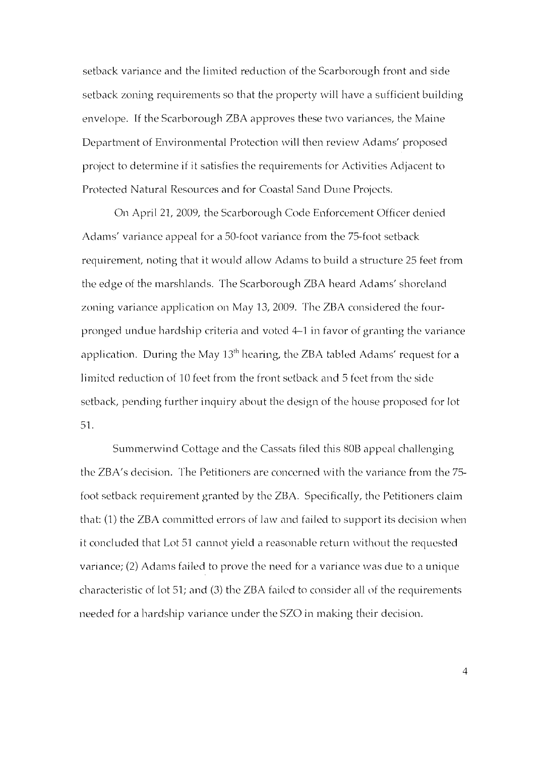setback variance and the limited reduction of the Scarborough front and side setback zoning requirements so that the property will have a sufficient building envelope. If the Scarborough ZBA approves these two variances, the Maine Department of Environmental Protection will then review Adams' proposed project to determine if it satisfies the requirements for Activities Adjacent to Protected Natural Resources and for Coastal Sand Dune Projects.

On April 21, 2009, the Scarborough Code Enforcement Officer denied Adams' variance appeal for a 50-foot variance from the 75-foot setback requirement, noting that it would allow Adams to build a structure 25 feet from the edge of the marshlands. The Scarborough ZBA heard Adams' shoreland zoning variance application on May 13, 2009. The ZBA considered the fourpronged undue hardship criteria and voted 4-1 in favor of granting the variance application. During the May  $13<sup>th</sup>$  hearing, the ZBA tabled Adams' request for a limited reduction of 10 feet from the front setback and 5 feet from the side setback, pending further inquiry about the design of the house proposed for lot 51.

Summerwind Cottage and the Cassats filed this 80B appeal challenging the ZBA's decision. The Petitioners are concerned with the variance from the 75 foot setback requirement granted by the ZBA. Specifically, the Petitioners claim that: (1) the ZBA committed errors of law and failed to support its decision when it concluded that Lot 51 cannot yield a reasonable return without the requested variance; (2) Adams failed to prove the need for a variance was due to a unique characteristic of lot 51; and (3) the ZBA failed to consider all of the requirements needed for a hardship variance under the SZO in making their decision.

4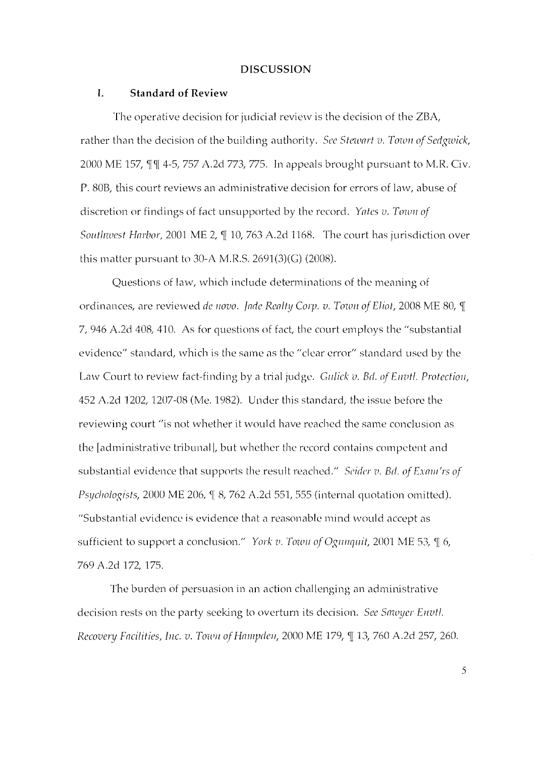#### **DISCUSSION**

#### **1. Standard of Review**

The operative decision for judicial review is the decision of the ZBA, rather than the decision of the building authority. *See Stewart v. Town of Sedgwick*, 2000 ME 157,  $\P\P$  4-5, 757 A.2d 773, 775. In appeals brought pursuant to M.R. Civ. P. 80B, this court reviews an adrninistrative decision for errors of law, abuse of discretion or findings of fact unsupported by the record. *Yates v. Town of Southwest Harbor,* 2001 ME 2,  $\P$  10, 763 A.2d 1168. The court has jurisdiction over this matter pursuant to 30-A M.R.S. 2691(3)(G) (2008).

Questions of law, which include determinations of the meaning of ordinances, are reviewed *de novo. Jade Realty Corp. v. Town of Eliot*, 2008 ME 80, ¶ 7, 946 A.2d 408, 410. As for questions of fact, the court employs the "substantial evidence" standard, which is the same as the "clear error" standard used by the Law Court to review fact-finding by a trial judge. *Gulick v. Bd. of Envil. Protection*, 452 A.2d 1202,1207-08 (Me. 1982). Under this standard, the issue before the reviewing court "is not whether it would have reached the same conclusion as the [administrative tribunal], but whether the record contains competent and substantial evidence that supports the result reached." *Seider v. Bd. of Exam'rs of Psychologists, 2000 ME 206, ¶ 8, 762 A.2d 551, 555 (internal quotation omitted).* "Substantial evidence is evidence that a reasonable mind would accept as sufficient to support a conclusion." *York v. Town of Ogunquit,* 2001 ME 53,  $\mathcal{I}$  6, 769 A.2d 172, 175.

The burden of persuasion in an action challenging an administrative decision rests on the party seeking to overturn its decision. *See Sawyer Envtl. Recovery Facilities, Inc. v. Town of Hampden, 2000 ME 179, ¶ 13, 760 A.2d 257, 260.* 

5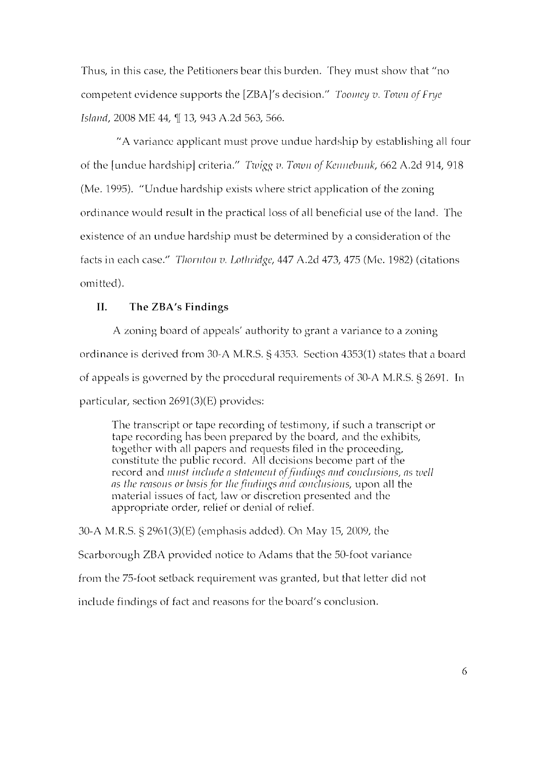Thus, in this case, the Petitioners bear this burden. They must show that "no competent evidence supports the [ZBA]'s decision." *Toomey v. Town of Frye Island, 2008 ME 44, ¶ 13, 943 A.2d 563, 566.* 

"A variance applicant must prove undue hardship by establishing all four of the [undue hardship] criteria." *Twigg v. Town of Kennebunk*, 662 A.2d 914, 918 (Me. 1995). "Undue hardship exists where strict application of the zoning ordinance would result in the practical loss of all beneficial use of the land. The existence of an undue hardship must be determined by a consideration of the facts in each case." *Tlton/tol/ v. Lotl/ridgc,* 447 A.2d 473,475 (Me. 1982) (citations omitted).

## **II. The** ZBA's **Findings**

A zoning board of appeals' authority to grant a variance to a zoning ordinance is derived from 30-AM.R.S. § 4353. Section 4353(1) states that a board of appeals is governed by the procedural requirements of 30-A M.R.5. § 2691. In particular, section 2691(3)(E) provides:

The transcript or tape recording of testimony, if such a transcript or tape recording has been prepared by the board, and the exhibits, together with all papers and requests filed in the proceeding, constitute the public record. All decisions become part of the record and *inust include a statement of findings and conclusions, as well ns the rensolis or basis for the findings and conclusions, upon all the* rnaterial issues of fact, law or discretion presented and the appropriate order, relief or denial of relief.

30-A M.R.S. § 2961(3)(E) (emphasis added). On May 15, 2009, the Scarborough ZBA provided notice to Adams that the 50-foot variance from the 75-foot setback requirement was granted, but that letter did not include findings of fact and reasons for the board's conclusion.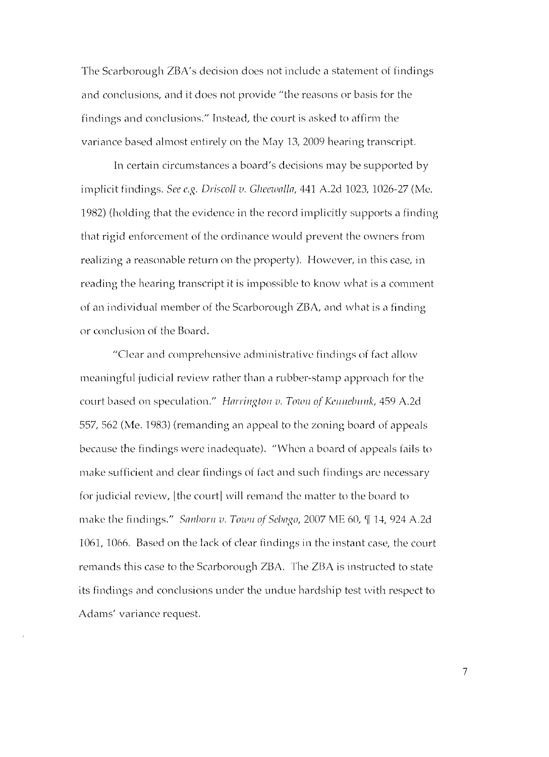The Scarborough ZBA's decision does not include a statement of findings and conclusions, and it does not provide "the reasons or basis for the findings and conclusions." Instead, the court is asked to affirm the variance based almost entirely on the May 13, 2009 hearing transcript.

In certain circumstances a board's decisions may be supported by implicit findings. *See e.g. Driscoll v. Glleewnlln,* 441 A.2d 1023, 1026-27 (Me. 1982) (holding that the evidence in the record implicitly supports a finding that rigid enforcement of the ordinance would prevent the owners from realizing a reasonable return on the property). However, in this case, in reading the hearing transcript it is impossible to know what is a comment of an individual member of the Scarborough ZBA, and what is a finding or conclusion of the Board.

"Clear and comprehensive administrative findings of fact allow meaningful judicial review rather than a rubber-stamp approach for the court based on speculation." *Harrington v. Town of Kennebunk*, 459 A.2d 557, 562 (Me. 1983) (remanding an appeal to the zoning board of appeals because the findings were inadequate). "When a board of appeals fails to make sufficient and clear findings of fact and such findings arc necessary for judicial review, [the court] will remand the matter to the board to make the findings." *Sanborn v. Town of Sebago,* 2007 ME 60, ¶ 14, 924 A.2d 1061, 1066. Based on the lack of clear findings in the instant case, the court remands this case to the Scarborough ZBA. The ZBA is instructed to state its findings and conclusions under the undue hardship test with respect to Adams' variance request.

7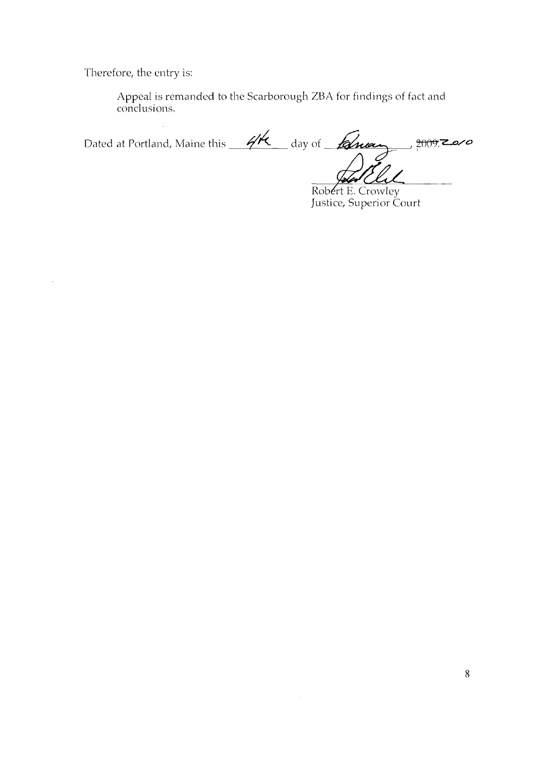Therefore, the entry is:

 $\bar{z}$ 

Appeal is remanded to the Scarborough ZBA for findings of fact and conclusions.

 $\ddot{\phantom{a}}$ Dated at Portland, Maine this *4th day* of *Ruay , 2009.Zoro*  $\overline{C}$ Ā.

Robert E. Crowley Justice, Superior Court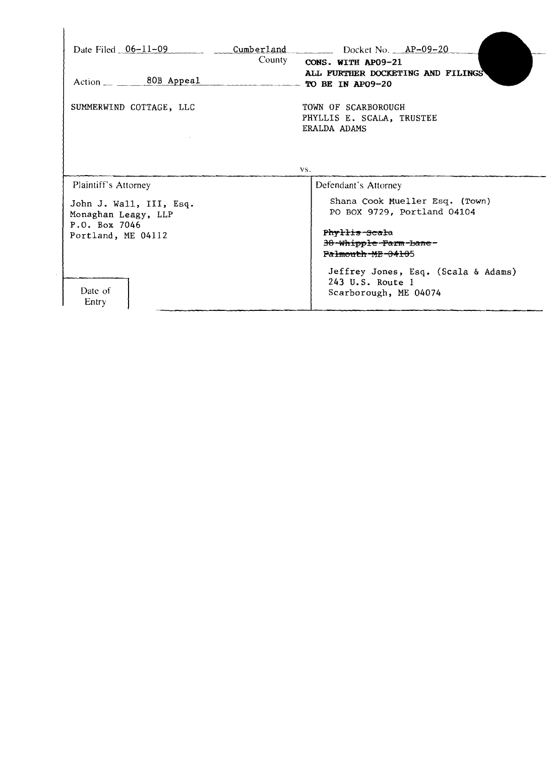| $Action$ <sub>__</sub> $80B$ Appeal                                                                           | Date Filed $06-11-09$ cumberland Docket No. $AP-09-20$<br>County<br>CONS. WITH AP09-21<br>ALL FURTHER DOCKETING AND FILINGS<br>TO BE IN AP09-20 |
|---------------------------------------------------------------------------------------------------------------|-------------------------------------------------------------------------------------------------------------------------------------------------|
| SUMMERWIND COTTAGE, LLC                                                                                       | TOWN OF SCARBOROUGH<br>PHYLLIS E. SCALA, TRUSTEE<br>ERALDA ADAMS                                                                                |
|                                                                                                               | VS.                                                                                                                                             |
| Plaintiff's Attorney<br>John J. Wall, III, Esq.<br>Monaghan Leagy, LLP<br>P.O. Box 7046<br>Portland, ME 04112 | Defendant's Attorney<br>Shana Cook Mueller Esq. (Town)<br>PO BOX 9729, Portland 04104                                                           |
|                                                                                                               | Phyllis-Scala<br>38-Whipple-Farm-hane-<br>Falmouth-MF-04105                                                                                     |
|                                                                                                               |                                                                                                                                                 |